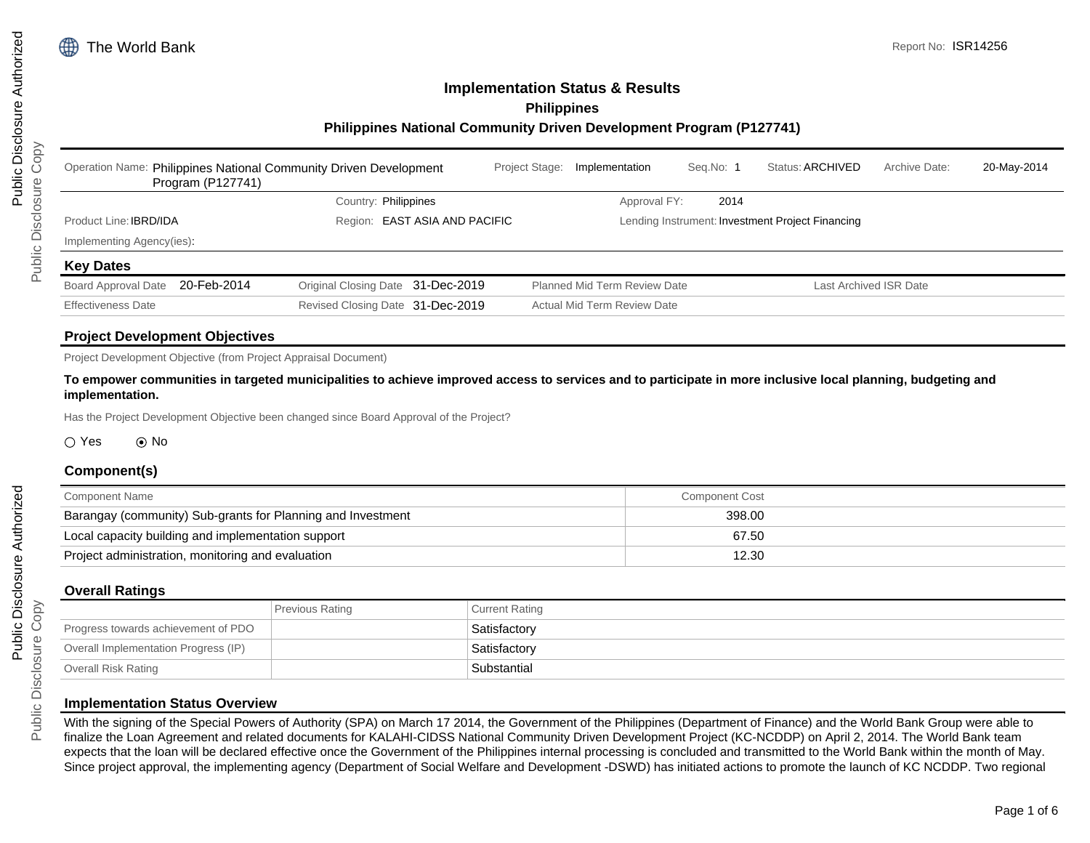# **Implementation Status & Results Philippines**

### **Philippines National Community Driven Development Program (P127741)**

| Operation Name: Philippines National Community Driven Development<br>Program (P127741) |                                   | Project Stage: | Implementation                      | Seg.No: 1 | Status: ARCHIVED                                 | Archive Date:          | 20-May-2014 |
|----------------------------------------------------------------------------------------|-----------------------------------|----------------|-------------------------------------|-----------|--------------------------------------------------|------------------------|-------------|
|                                                                                        | Country: Philippines              |                | Approval FY:                        | 2014      |                                                  |                        |             |
| Product Line: <b>IBRD/IDA</b>                                                          | Region: EAST ASIA AND PACIFIC     |                |                                     |           | Lending Instrument: Investment Project Financing |                        |             |
| Implementing Agency(ies)                                                               |                                   |                |                                     |           |                                                  |                        |             |
| <b>Key Dates</b>                                                                       |                                   |                |                                     |           |                                                  |                        |             |
| 20-Feb-2014<br><b>Board Approval Date</b>                                              | Original Closing Date 31-Dec-2019 |                | <b>Planned Mid Term Review Date</b> |           |                                                  | Last Archived ISR Date |             |
| <b>Effectiveness Date</b>                                                              | Revised Closing Date 31-Dec-2019  |                | <b>Actual Mid Term Review Date</b>  |           |                                                  |                        |             |

## **Project Development Objectives**

Project Development Objective (from Project Appraisal Document)

**To empower communities in targeted municipalities to achieve improved access to services and to participate in more inclusive local planning, budgeting and implementation.**

Has the Project Development Objective been changed since Board Approval of the Project?

#### $\bigcirc$  Yes  $\bigcirc$  No

#### **Component(s)**

| Component Name                                              | <b>Component Cost</b> |  |
|-------------------------------------------------------------|-----------------------|--|
| Barangay (community) Sub-grants for Planning and Investment | 398.00                |  |
| Local capacity building and implementation support          | 67.50                 |  |
| Project administration, monitoring and evaluation           | 12.30                 |  |

#### **Overall Ratings**

|                                      | <b>Previous Rating</b> | <b>Current Rating</b> |
|--------------------------------------|------------------------|-----------------------|
| Progress towards achievement of PDO  |                        | Satisfactory          |
| Overall Implementation Progress (IP) |                        | Satisfactory          |
| Overall Risk Rating                  |                        | Substantial           |

#### **Implementation Status Overview**

With the signing of the Special Powers of Authority (SPA) on March 17 2014, the Government of the Philippines (Department of Finance) and the World Bank Group were able to finalize the Loan Agreement and related documents for KALAHI-CIDSS National Community Driven Development Project (KC-NCDDP) on April 2, 2014. The World Bank team expects that the loan will be declared effective once the Government of the Philippines internal processing is concluded and transmitted to the World Bank within the month of May. Since project approval, the implementing agency (Department of Social Welfare and Development -DSWD) has initiated actions to promote the launch of KC NCDDP. Two regional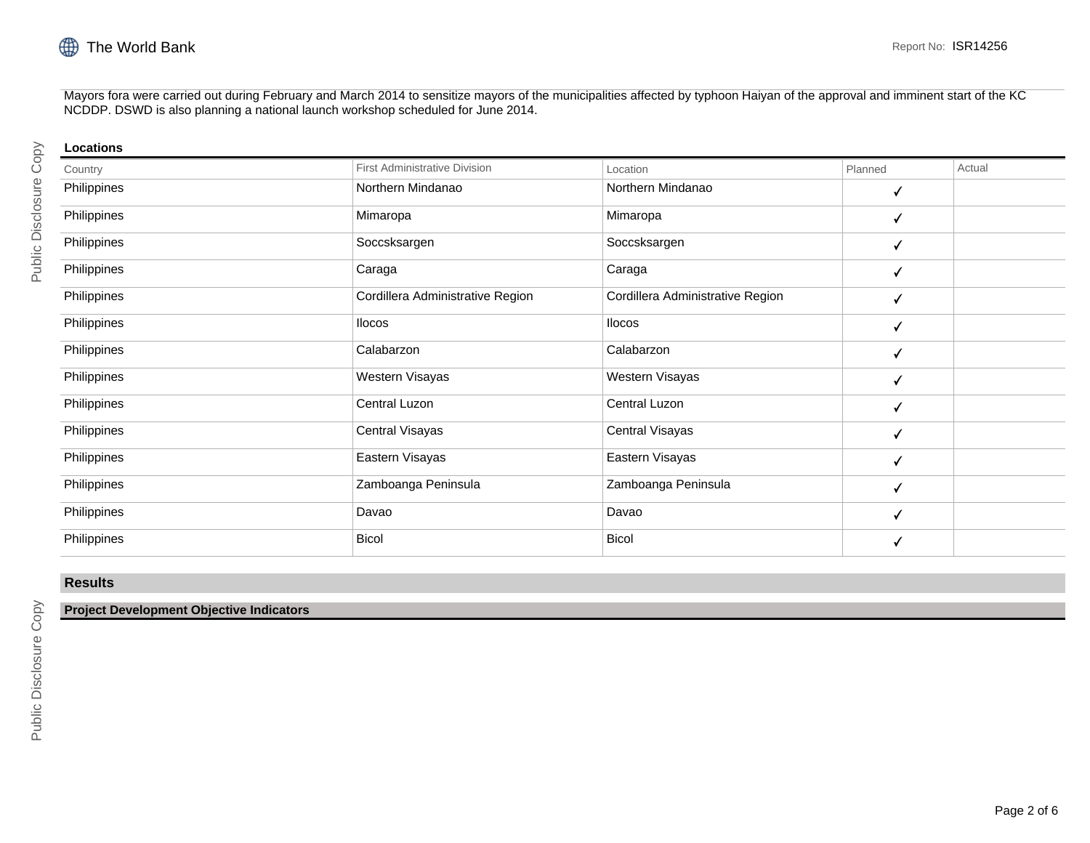

Mayors fora were carried out during February and March 2014 to sensitize mayors of the municipalities affected by typhoon Haiyan of the approval and imminent start of the KC NCDDP. DSWD is also planning a national launch workshop scheduled for June 2014.

| Locations   |                                  |                                  |         |        |
|-------------|----------------------------------|----------------------------------|---------|--------|
| Country     | First Administrative Division    | Location                         | Planned | Actual |
| Philippines | Northern Mindanao                | Northern Mindanao                | ✓       |        |
| Philippines | Mimaropa                         | Mimaropa                         | √       |        |
| Philippines | Soccsksargen                     | Soccsksargen                     | √       |        |
| Philippines | Caraga                           | Caraga                           | √       |        |
| Philippines | Cordillera Administrative Region | Cordillera Administrative Region | √       |        |
| Philippines | <b>Ilocos</b>                    | <b>Ilocos</b>                    | √       |        |
| Philippines | Calabarzon                       | Calabarzon                       | ✓       |        |
| Philippines | Western Visayas                  | Western Visayas                  | √       |        |
| Philippines | Central Luzon                    | Central Luzon                    | ✓       |        |
| Philippines | Central Visayas                  | Central Visayas                  | ✓       |        |
| Philippines | Eastern Visayas                  | Eastern Visayas                  | ✓       |        |
| Philippines | Zamboanga Peninsula              | Zamboanga Peninsula              | √       |        |
| Philippines | Davao                            | Davao                            | ✓       |        |
| Philippines | <b>Bicol</b>                     | <b>Bicol</b>                     | √       |        |

## **Results**

#### **Project Development Objective Indicators**

Public Disclosure Copy

Public Disclosure Copy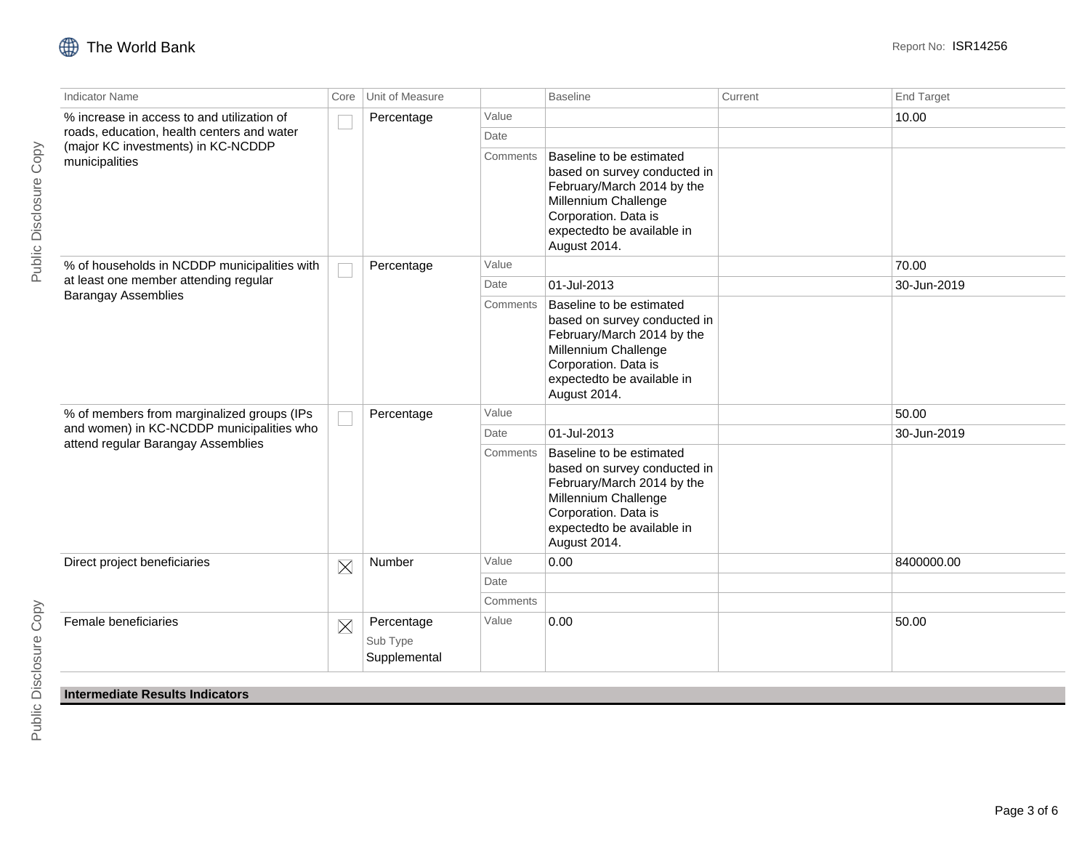| <b>Indicator Name</b>                                               | Core     | Unit of Measure                        |          | <b>Baseline</b>                                                                                                                                                                      | Current | <b>End Target</b> |
|---------------------------------------------------------------------|----------|----------------------------------------|----------|--------------------------------------------------------------------------------------------------------------------------------------------------------------------------------------|---------|-------------------|
| % increase in access to and utilization of                          | ×.       | Percentage                             | Value    |                                                                                                                                                                                      |         | 10.00             |
| roads, education, health centers and water                          |          |                                        | Date     |                                                                                                                                                                                      |         |                   |
| (major KC investments) in KC-NCDDP<br>municipalities                |          |                                        | Comments | Baseline to be estimated<br>based on survey conducted in<br>February/March 2014 by the<br>Millennium Challenge<br>Corporation. Data is<br>expectedto be available in<br>August 2014. |         |                   |
| % of households in NCDDP municipalities with                        |          | Percentage                             | Value    |                                                                                                                                                                                      |         | 70.00             |
| at least one member attending regular<br><b>Barangay Assemblies</b> |          |                                        | Date     | 01-Jul-2013                                                                                                                                                                          |         | 30-Jun-2019       |
|                                                                     |          |                                        | Comments | Baseline to be estimated<br>based on survey conducted in<br>February/March 2014 by the<br>Millennium Challenge<br>Corporation. Data is<br>expectedto be available in<br>August 2014. |         |                   |
| % of members from marginalized groups (IPs                          |          | Percentage                             | Value    |                                                                                                                                                                                      |         | 50.00             |
| and women) in KC-NCDDP municipalities who                           |          |                                        | Date     | 01-Jul-2013                                                                                                                                                                          |         | 30-Jun-2019       |
| attend regular Barangay Assemblies                                  |          |                                        | Comments | Baseline to be estimated<br>based on survey conducted in<br>February/March 2014 by the<br>Millennium Challenge<br>Corporation. Data is<br>expectedto be available in<br>August 2014. |         |                   |
| Direct project beneficiaries                                        | $\times$ | Number                                 | Value    | 0.00                                                                                                                                                                                 |         | 8400000.00        |
|                                                                     |          |                                        | Date     |                                                                                                                                                                                      |         |                   |
|                                                                     |          |                                        | Comments |                                                                                                                                                                                      |         |                   |
| Female beneficiaries                                                | $\times$ | Percentage<br>Sub Type<br>Supplemental | Value    | 0.00                                                                                                                                                                                 |         | 50.00             |
| Intermediate Results Indicators                                     |          |                                        |          |                                                                                                                                                                                      |         |                   |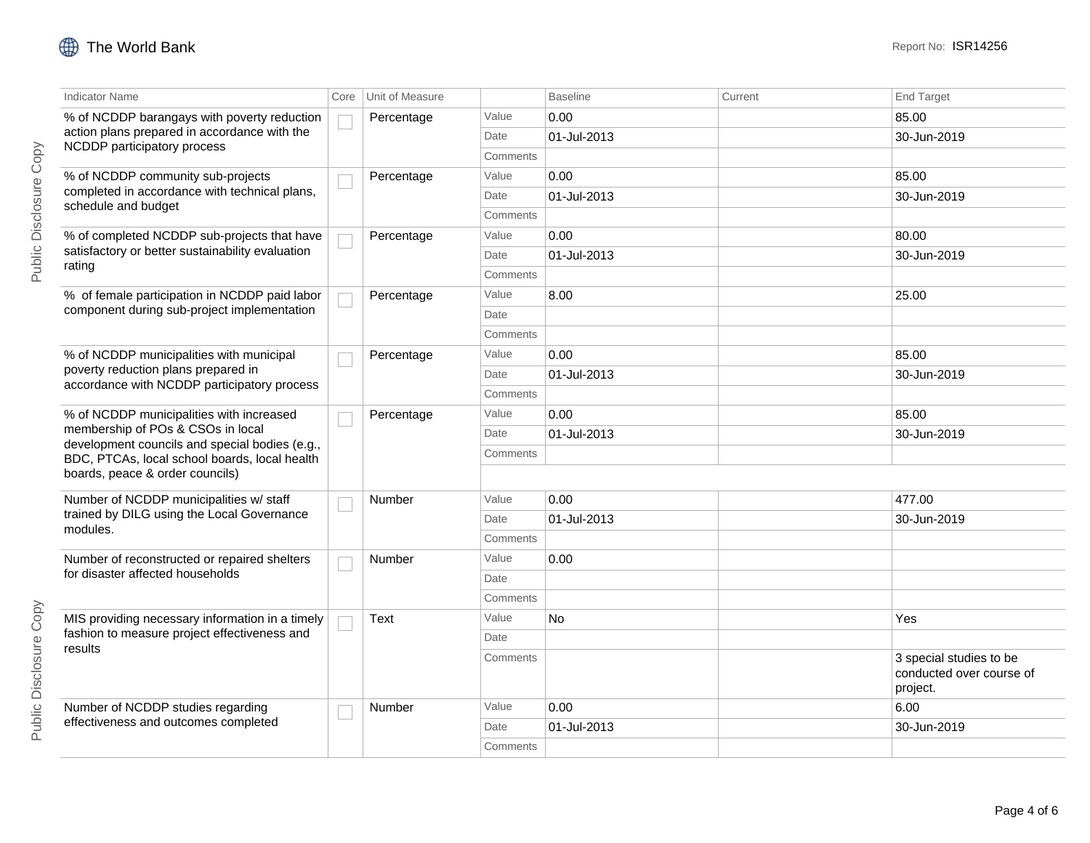| <b>Indicator Name</b>                                                               | Core | Unit of Measure |          | <b>Baseline</b> | Current | <b>End Target</b>                                               |
|-------------------------------------------------------------------------------------|------|-----------------|----------|-----------------|---------|-----------------------------------------------------------------|
| % of NCDDP barangays with poverty reduction                                         |      | Percentage      | Value    | 0.00            |         | 85.00                                                           |
| action plans prepared in accordance with the                                        |      |                 | Date     | 01-Jul-2013     |         | 30-Jun-2019                                                     |
| NCDDP participatory process                                                         |      |                 | Comments |                 |         |                                                                 |
| % of NCDDP community sub-projects<br>completed in accordance with technical plans,  |      | Percentage      | Value    | 0.00            |         | 85.00                                                           |
| schedule and budget                                                                 |      |                 | Date     | 01-Jul-2013     |         | 30-Jun-2019                                                     |
|                                                                                     |      |                 | Comments |                 |         |                                                                 |
| % of completed NCDDP sub-projects that have                                         |      | Percentage      | Value    | 0.00            |         | 80.00                                                           |
| satisfactory or better sustainability evaluation<br>rating                          |      |                 | Date     | 01-Jul-2013     |         | 30-Jun-2019                                                     |
|                                                                                     |      |                 | Comments |                 |         |                                                                 |
| % of female participation in NCDDP paid labor                                       |      | Percentage      | Value    | 8.00            |         | 25.00                                                           |
| component during sub-project implementation                                         |      |                 | Date     |                 |         |                                                                 |
|                                                                                     |      |                 | Comments |                 |         |                                                                 |
| % of NCDDP municipalities with municipal                                            |      | Percentage      | Value    | 0.00            |         | 85.00                                                           |
| poverty reduction plans prepared in<br>accordance with NCDDP participatory process  |      |                 | Date     | 01-Jul-2013     |         | 30-Jun-2019                                                     |
|                                                                                     |      |                 | Comments |                 |         |                                                                 |
| % of NCDDP municipalities with increased                                            |      | Percentage      | Value    | 0.00            |         | 85.00                                                           |
| membership of POs & CSOs in local<br>development councils and special bodies (e.g., |      |                 | Date     | 01-Jul-2013     |         | 30-Jun-2019                                                     |
| BDC, PTCAs, local school boards, local health                                       |      |                 | Comments |                 |         |                                                                 |
| boards, peace & order councils)                                                     |      |                 |          |                 |         |                                                                 |
| Number of NCDDP municipalities w/ staff                                             |      | Number          | Value    | 0.00            |         | 477.00                                                          |
| trained by DILG using the Local Governance                                          |      |                 | Date     | 01-Jul-2013     |         | 30-Jun-2019                                                     |
| modules.                                                                            |      |                 | Comments |                 |         |                                                                 |
| Number of reconstructed or repaired shelters                                        |      | Number          | Value    | 0.00            |         |                                                                 |
| for disaster affected households                                                    |      |                 | Date     |                 |         |                                                                 |
|                                                                                     |      |                 | Comments |                 |         |                                                                 |
| MIS providing necessary information in a timely                                     |      | Text            | Value    | No              |         | Yes                                                             |
| fashion to measure project effectiveness and                                        |      |                 | Date     |                 |         |                                                                 |
| results                                                                             |      |                 | Comments |                 |         | 3 special studies to be<br>conducted over course of<br>project. |
| Number of NCDDP studies regarding                                                   |      | Number          | Value    | 0.00            |         | 6.00                                                            |
| effectiveness and outcomes completed                                                |      |                 | Date     | 01-Jul-2013     |         | 30-Jun-2019                                                     |
|                                                                                     |      |                 | Comments |                 |         |                                                                 |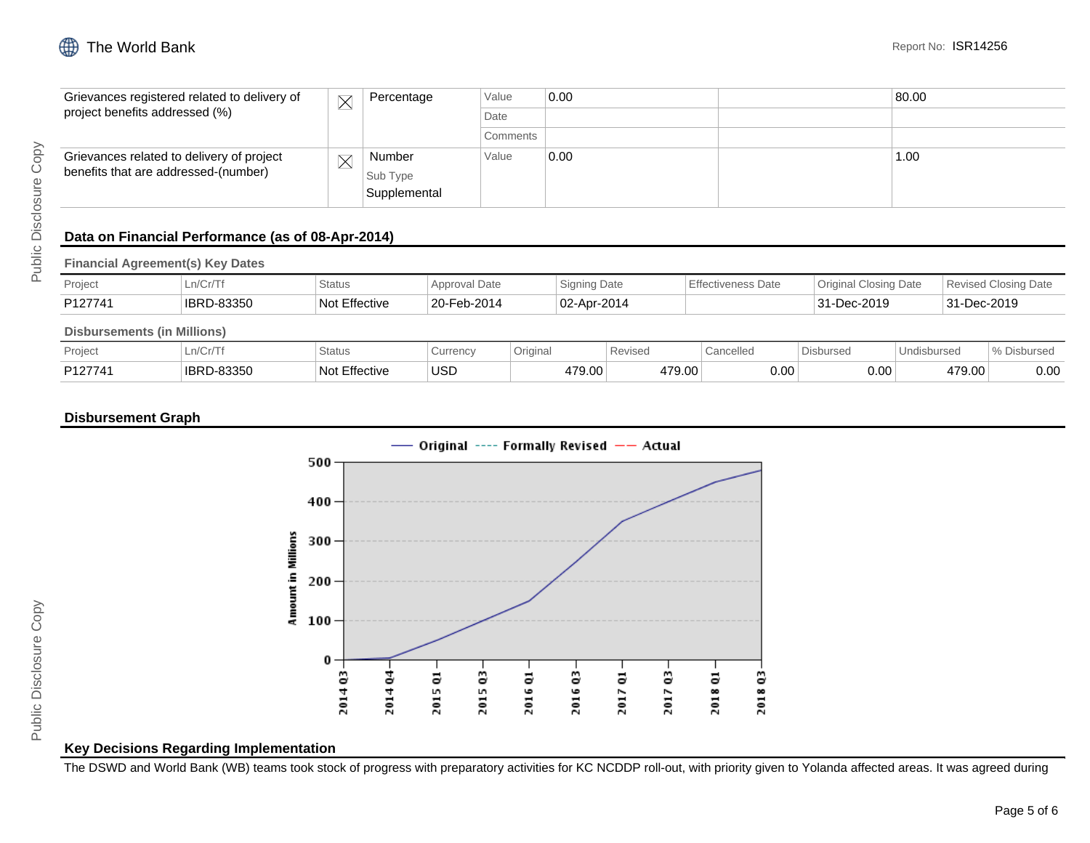| Grievances registered related to delivery of<br>project benefits addressed (%)    | $\times$ | Value<br>Percentage<br>Date        |          | 0.00 | 80.00 |
|-----------------------------------------------------------------------------------|----------|------------------------------------|----------|------|-------|
|                                                                                   |          |                                    |          |      |       |
|                                                                                   |          |                                    | Comments |      |       |
| Grievances related to delivery of project<br>benefits that are addressed-(number) |          | Number<br>Sub Type<br>Supplemental | Value    | 0.00 | 1.00  |

# **Data on Financial Performance (as of 08-Apr-2014)**

**Financial Agreement(s) Key Dates**

| Project | n/Cr/T<br>-1 1/ U I /  | <b>Status</b>      | <b><i><u>Approval Date</u></i></b> | <b>Signing Date</b> | <b>Effectiveness Date</b> | Origina<br>Closing Date | <b>Revised Closing Date</b> |
|---------|------------------------|--------------------|------------------------------------|---------------------|---------------------------|-------------------------|-----------------------------|
| P127741 | <b>IBRD</b><br>D-83350 | Effective<br>Not I | 20-Feb-2014                        | 02-Apr-2014         |                           | 31-Dec-2019             | 31-Dec-2019                 |

## **Disbursements (in Millions)**

| Project | $\sim$<br>$\cdot$ $\cdot$ $\sqrt{\tau}$<br>LII/VI/I | Status                | Currenc∖ | Original | Revised          | Cancelled | bursec | <b>isburse</b> | $\sim$<br>∼∪นเจ <del>∪</del> ๛ |
|---------|-----------------------------------------------------|-----------------------|----------|----------|------------------|-----------|--------|----------------|--------------------------------|
| P127741 | 83350<br><b>IBRD</b><br>$-7$                        | Effective<br>ᄓᇬ<br>יש | USD      | 479.00   | 170.00<br>r 9.UU | 0.00      | 0.0C   | 479.00         | 0.00                           |

## **Disbursement Graph**



### **Key Decisions Regarding Implementation**

The DSWD and World Bank (WB) teams took stock of progress with preparatory activities for KC NCDDP roll-out, with priority given to Yolanda affected areas. It was agreed during